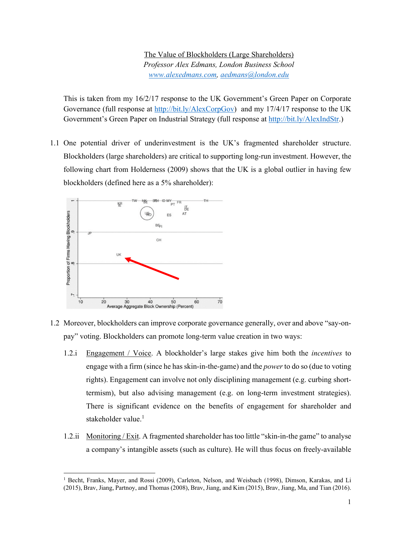The Value of Blockholders (Large Shareholders) *Professor Alex Edmans, London Business School www.alexedmans.com, aedmans@london.edu* 

This is taken from my 16/2/17 response to the UK Government's Green Paper on Corporate Governance (full response at http://bit.ly/AlexCorpGov) and my 17/4/17 response to the UK Government's Green Paper on Industrial Strategy (full response at http://bit.ly/AlexIndStr.)

1.1 One potential driver of underinvestment is the UK's fragmented shareholder structure. Blockholders (large shareholders) are critical to supporting long-run investment. However, the following chart from Holderness (2009) shows that the UK is a global outlier in having few blockholders (defined here as a 5% shareholder):



- 1.2 Moreover, blockholders can improve corporate governance generally, over and above "say-onpay" voting. Blockholders can promote long-term value creation in two ways:
	- 1.2.i Engagement / Voice. A blockholder's large stakes give him both the *incentives* to engage with a firm (since he has skin-in-the-game) and the *power* to do so (due to voting rights). Engagement can involve not only disciplining management (e.g. curbing shorttermism), but also advising management (e.g. on long-term investment strategies). There is significant evidence on the benefits of engagement for shareholder and stakeholder value. $<sup>1</sup>$ </sup>
	- 1.2.ii Monitoring / Exit. A fragmented shareholder has too little "skin-in-the game" to analyse a company's intangible assets (such as culture). He will thus focus on freely-available

<sup>1</sup> Becht, Franks, Mayer, and Rossi (2009), Carleton, Nelson, and Weisbach (1998), Dimson, Karakas, and Li (2015), Brav, Jiang, Partnoy, and Thomas (2008), Brav, Jiang, and Kim (2015), Brav, Jiang, Ma, and Tian (2016).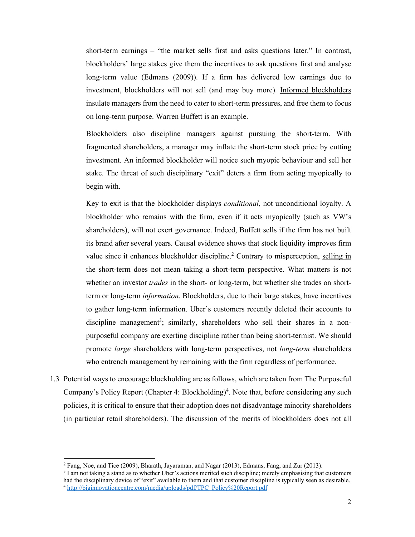short-term earnings – "the market sells first and asks questions later." In contrast, blockholders' large stakes give them the incentives to ask questions first and analyse long-term value (Edmans (2009)). If a firm has delivered low earnings due to investment, blockholders will not sell (and may buy more). Informed blockholders insulate managers from the need to cater to short-term pressures, and free them to focus on long-term purpose. Warren Buffett is an example.

Blockholders also discipline managers against pursuing the short-term. With fragmented shareholders, a manager may inflate the short-term stock price by cutting investment. An informed blockholder will notice such myopic behaviour and sell her stake. The threat of such disciplinary "exit" deters a firm from acting myopically to begin with.

Key to exit is that the blockholder displays *conditional*, not unconditional loyalty. A blockholder who remains with the firm, even if it acts myopically (such as VW's shareholders), will not exert governance. Indeed, Buffett sells if the firm has not built its brand after several years. Causal evidence shows that stock liquidity improves firm value since it enhances blockholder discipline.<sup>2</sup> Contrary to misperception, selling in the short-term does not mean taking a short-term perspective. What matters is not whether an investor *trades* in the short- or long-term, but whether she trades on shortterm or long-term *information*. Blockholders, due to their large stakes, have incentives to gather long-term information. Uber's customers recently deleted their accounts to discipline management<sup>3</sup>; similarly, shareholders who sell their shares in a nonpurposeful company are exerting discipline rather than being short-termist. We should promote *large* shareholders with long-term perspectives, not *long-term* shareholders who entrench management by remaining with the firm regardless of performance.

1.3 Potential ways to encourage blockholding are as follows, which are taken from The Purposeful Company's Policy Report (Chapter 4: Blockholding)<sup>4</sup>. Note that, before considering any such policies, it is critical to ensure that their adoption does not disadvantage minority shareholders (in particular retail shareholders). The discussion of the merits of blockholders does not all

<sup>&</sup>lt;sup>2</sup> Fang, Noe, and Tice (2009), Bharath, Jayaraman, and Nagar (2013), Edmans, Fang, and Zur (2013).

<sup>&</sup>lt;sup>3</sup> I am not taking a stand as to whether Uber's actions merited such discipline; merely emphasising that customers had the disciplinary device of "exit" available to them and that customer discipline is typically seen as desirable. <sup>4</sup> http://biginnovationcentre.com/media/uploads/pdf/TPC\_Policy%20Report.pdf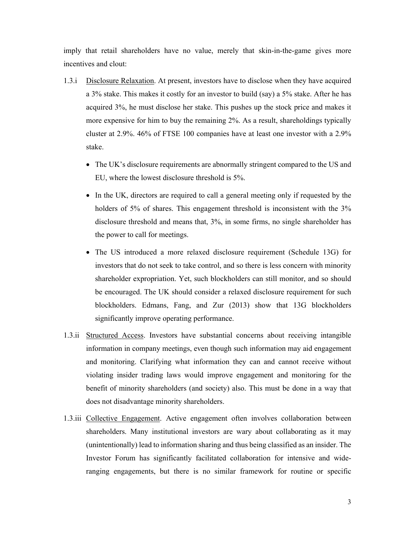imply that retail shareholders have no value, merely that skin-in-the-game gives more incentives and clout:

- 1.3.i Disclosure Relaxation. At present, investors have to disclose when they have acquired a 3% stake. This makes it costly for an investor to build (say) a 5% stake. After he has acquired 3%, he must disclose her stake. This pushes up the stock price and makes it more expensive for him to buy the remaining 2%. As a result, shareholdings typically cluster at 2.9%. 46% of FTSE 100 companies have at least one investor with a 2.9% stake.
	- The UK's disclosure requirements are abnormally stringent compared to the US and EU, where the lowest disclosure threshold is 5%.
	- In the UK, directors are required to call a general meeting only if requested by the holders of 5% of shares. This engagement threshold is inconsistent with the 3% disclosure threshold and means that, 3%, in some firms, no single shareholder has the power to call for meetings.
	- The US introduced a more relaxed disclosure requirement (Schedule 13G) for investors that do not seek to take control, and so there is less concern with minority shareholder expropriation. Yet, such blockholders can still monitor, and so should be encouraged. The UK should consider a relaxed disclosure requirement for such blockholders. Edmans, Fang, and Zur (2013) show that 13G blockholders significantly improve operating performance.
- 1.3.ii Structured Access. Investors have substantial concerns about receiving intangible information in company meetings, even though such information may aid engagement and monitoring. Clarifying what information they can and cannot receive without violating insider trading laws would improve engagement and monitoring for the benefit of minority shareholders (and society) also. This must be done in a way that does not disadvantage minority shareholders.
- 1.3.iii Collective Engagement. Active engagement often involves collaboration between shareholders. Many institutional investors are wary about collaborating as it may (unintentionally) lead to information sharing and thus being classified as an insider. The Investor Forum has significantly facilitated collaboration for intensive and wideranging engagements, but there is no similar framework for routine or specific